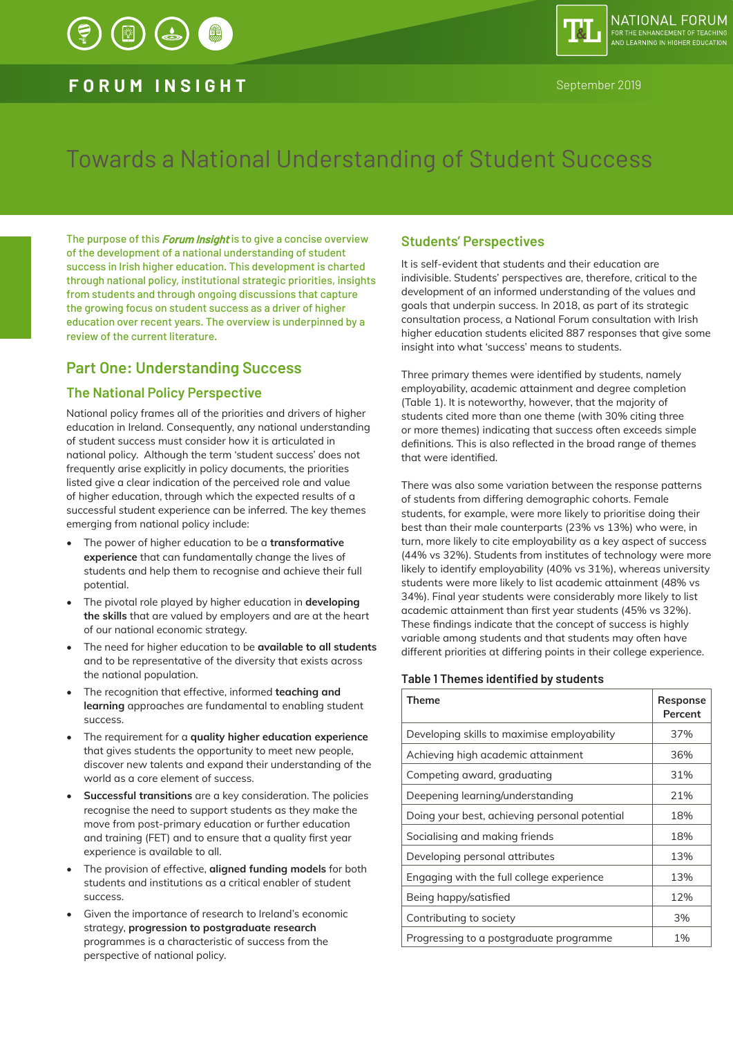## **FORUM INSIGHT** September 2019

# Towards a National Understanding of Student Success

The purpose of this *Forum Insight* is to give a concise overview of the development of a national understanding of student success in Irish higher education. This development is charted through national policy, institutional strategic priorities, insights from students and through ongoing discussions that capture the growing focus on student success as a driver of higher education over recent years. The overview is underpinned by a review of the current literature.

## **Part One: Understanding Success**

## **The National Policy Perspective**

National policy frames all of the priorities and drivers of higher education in Ireland. Consequently, any national understanding of student success must consider how it is articulated in national policy. Although the term 'student success' does not frequently arise explicitly in policy documents, the priorities listed give a clear indication of the perceived role and value of higher education, through which the expected results of a successful student experience can be inferred. The key themes emerging from national policy include:

- The power of higher education to be a **transformative experience** that can fundamentally change the lives of students and help them to recognise and achieve their full potential.
- The pivotal role played by higher education in **developing the skills** that are valued by employers and are at the heart of our national economic strategy.
- The need for higher education to be **available to all students** and to be representative of the diversity that exists across the national population.
- The recognition that effective, informed **teaching and learning** approaches are fundamental to enabling student success.
- The requirement for a **quality higher education experience** that gives students the opportunity to meet new people. discover new talents and expand their understanding of the world as a core element of success.
- **Successful transitions** are a key consideration. The policies recognise the need to support students as they make the move from post-primary education or further education and training (FET) and to ensure that a quality first year experience is available to all.
- The provision of effective, **aligned funding models** for both students and institutions as a critical enabler of student success.
- Given the importance of research to Ireland's economic strategy, **progression to postgraduate research** programmes is a characteristic of success from the perspective of national policy.

### **Students' Perspectives**

It is self-evident that students and their education are indivisible. Students' perspectives are, therefore, critical to the development of an informed understanding of the values and goals that underpin success. In 2018, as part of its strategic consultation process, a National Forum consultation with Irish higher education students elicited 887 responses that give some insight into what 'success' means to students.

Three primary themes were identified by students, namely employability, academic attainment and degree completion (Table 1). It is noteworthy, however, that the majority of students cited more than one theme (with 30% citing three or more themes) indicating that success often exceeds simple definitions. This is also reflected in the broad range of themes that were identified.

There was also some variation between the response patterns of students from differing demographic cohorts. Female students, for example, were more likely to prioritise doing their best than their male counterparts (23% vs 13%) who were, in turn, more likely to cite employability as a key aspect of success (44% vs 32%). Students from institutes of technology were more likely to identify employability (40% vs 31%), whereas university students were more likely to list academic attainment (48% vs 34%). Final year students were considerably more likely to list academic attainment than first year students (45% vs 32%). These findings indicate that the concept of success is highly variable among students and that students may often have different priorities at differing points in their college experience.

#### **Table 1 Themes identified by students**

| Theme                                         | Response<br>Percent |
|-----------------------------------------------|---------------------|
| Developing skills to maximise employability   | 37%                 |
| Achieving high academic attainment            | 36%                 |
| Competing award, graduating                   | 31%                 |
| Deepening learning/understanding              | 21%                 |
| Doing your best, achieving personal potential | 18%                 |
| Socialising and making friends                | 18%                 |
| Developing personal attributes                | 13%                 |
| Engaging with the full college experience     | 13%                 |
| Being happy/satisfied                         | 12%                 |
| Contributing to society                       | 3%                  |
| Progressing to a postgraduate programme       | $1\%$               |